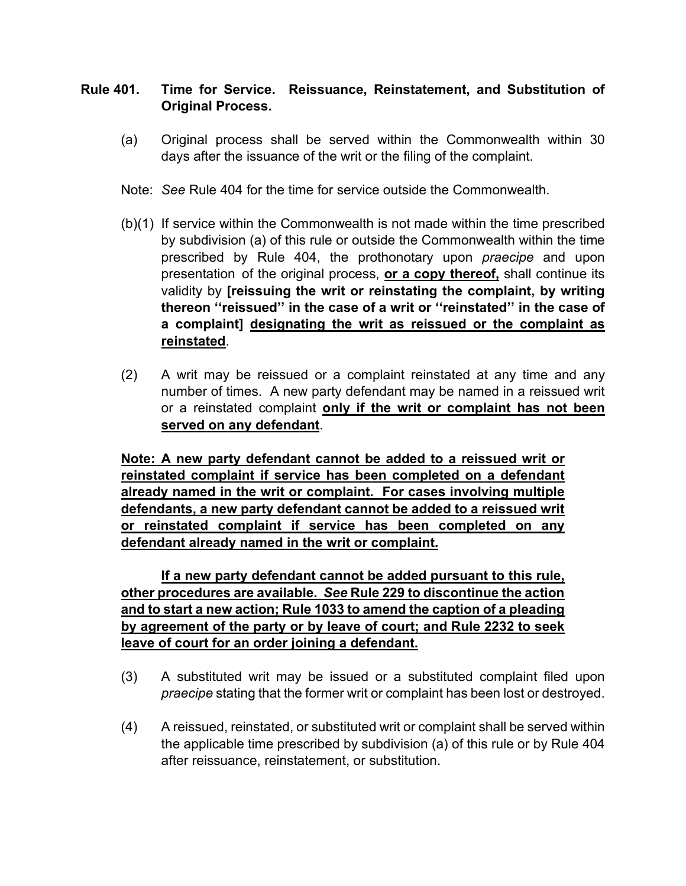## **Rule 401. Time for Service. Reissuance, Reinstatement, and Substitution of Original Process.**

- (a) Original process shall be served within the Commonwealth within 30 days after the issuance of the writ or the filing of the complaint.
- Note: *See* Rule 404 for the time for service outside the Commonwealth.
- (b)(1) If service within the Commonwealth is not made within the time prescribed by subdivision (a) of this rule or outside the Commonwealth within the time prescribed by Rule 404, the prothonotary upon *praecipe* and upon presentation of the original process, **or a copy thereof,** shall continue its validity by **[reissuing the writ or reinstating the complaint, by writing thereon ''reissued'' in the case of a writ or ''reinstated'' in the case of a complaint] designating the writ as reissued or the complaint as reinstated**.
- (2) A writ may be reissued or a complaint reinstated at any time and any number of times. A new party defendant may be named in a reissued writ or a reinstated complaint **only if the writ or complaint has not been served on any defendant**.

**Note: A new party defendant cannot be added to a reissued writ or reinstated complaint if service has been completed on a defendant already named in the writ or complaint. For cases involving multiple defendants, a new party defendant cannot be added to a reissued writ or reinstated complaint if service has been completed on any defendant already named in the writ or complaint.**

**If a new party defendant cannot be added pursuant to this rule, other procedures are available.** *See* **Rule 229 to discontinue the action and to start a new action; Rule 1033 to amend the caption of a pleading by agreement of the party or by leave of court; and Rule 2232 to seek leave of court for an order joining a defendant.**

- (3) A substituted writ may be issued or a substituted complaint filed upon *praecipe* stating that the former writ or complaint has been lost or destroyed.
- (4) A reissued, reinstated, or substituted writ or complaint shall be served within the applicable time prescribed by subdivision (a) of this rule or by Rule 404 after reissuance, reinstatement, or substitution.